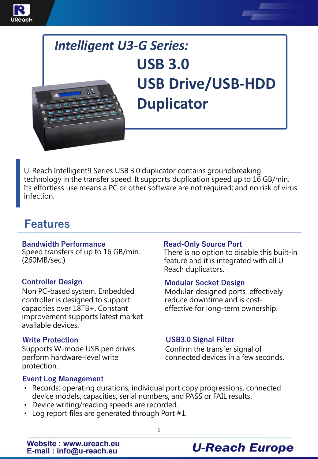



U-Reach Intelligent9 Series USB 3.0 duplicator contains groundbreaking technology in the transfer speed. It supports duplication speed up to 16 GB/min. Its effortless use means a PC or other software are not required; and no risk of virus infection.

### **Features**

#### **Bandwidth Performance**

Speed transfers of up to 16 GB/min. (260MB/sec.)

### **Controller Design**

Non PC-based system. Embedded controller is designed to support capacities over 18TB+. Constant improvement supports latest market – available devices.

#### **Write Protection**

Supports W-mode USB pen drives perform hardware-level write protection.

#### **Read-Only Source Port**

There is no option to disable this built-in feature and it is integrated with all U-Reach duplicators.

#### **Modular Socket Design**

Modular-designed ports effectively reduce downtime and is costeffective for long-term ownership.

### **USB3.0 Signal Filter**

Confirm the transfer signal of connected devices in a few seconds.

### **Event Log Management**

- Records: operating durations, individual port copy progressions, connected device models, capacities, serial numbers, and PASS or FAIL results.
- Device writing/reading speeds are recorded.
- Log report files are generated through Port #1.

### **U-Reach Europe**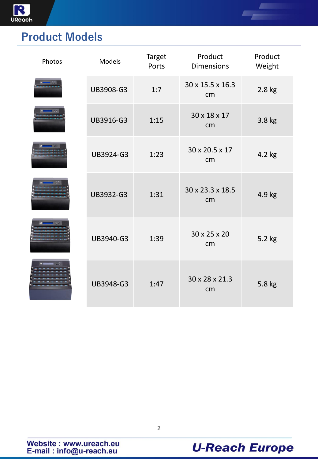

# **Product Models**

| Photos | Models    | <b>Target</b><br>Ports | Product<br><b>Dimensions</b> | Product<br>Weight |
|--------|-----------|------------------------|------------------------------|-------------------|
|        | UB3908-G3 | 1:7                    | 30 x 15.5 x 16.3<br>cm       | 2.8 kg            |
|        | UB3916-G3 | 1:15                   | 30 x 18 x 17<br>cm           | 3.8 kg            |
|        | UB3924-G3 | 1:23                   | 30 x 20.5 x 17<br>cm         | 4.2 kg            |
|        | UB3932-G3 | 1:31                   | 30 x 23.3 x 18.5<br>cm       | 4.9 kg            |
|        | UB3940-G3 | 1:39                   | 30 x 25 x 20<br>cm           | 5.2 kg            |
|        | UB3948-G3 | 1:47                   | 30 x 28 x 21.3<br>cm         | 5.8 kg            |



Æ.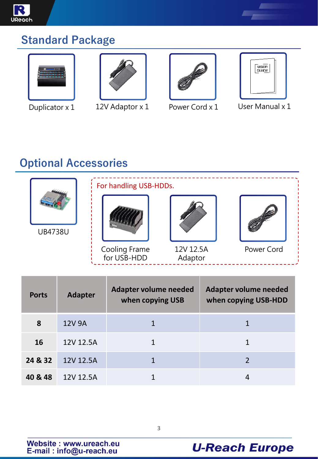

### **Standard Package**









Duplicator x 1 12V Adaptor x 1 Power Cord x 1 User Manual x 1

# **Optional Accessories**



| <b>Ports</b> | <b>Adapter</b> | Adapter volume needed<br>when copying USB | Adapter volume needed<br>when copying USB-HDD |
|--------------|----------------|-------------------------------------------|-----------------------------------------------|
| 8            | 12V 9A         |                                           |                                               |
| <b>16</b>    | 12V 12.5A      |                                           |                                               |
| 24 & 32      | 12V 12.5A      |                                           |                                               |
| 40 & 48      | 12V 12.5A      |                                           |                                               |